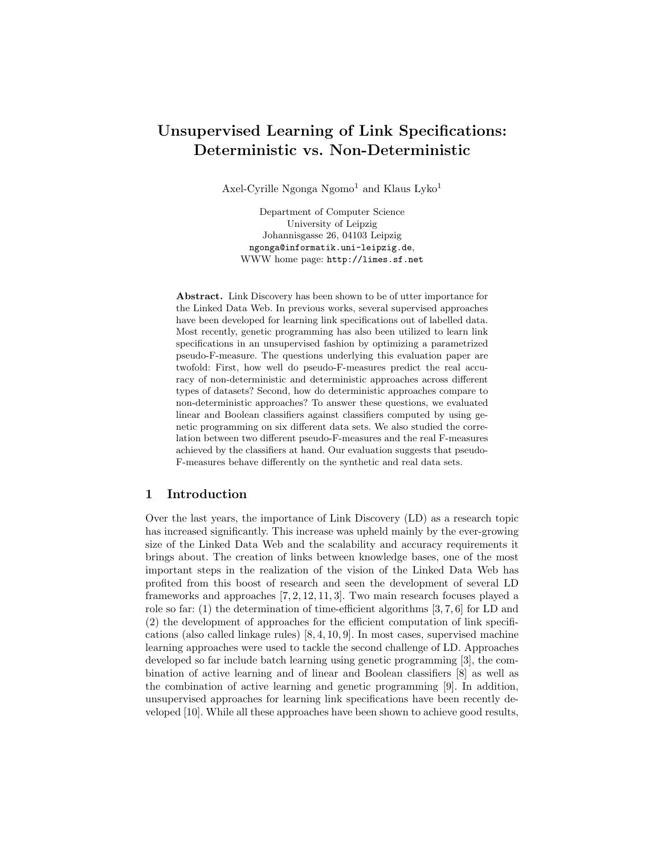# Unsupervised Learning of Link Specifications: Deterministic vs. Non-Deterministic

Axel-Cyrille Ngonga Ngomo<sup>1</sup> and Klaus Lyko<sup>1</sup>

Department of Computer Science University of Leipzig Johannisgasse 26, 04103 Leipzig ngonga@informatik.uni-leipzig.de, WWW home page: http://limes.sf.net

Abstract. Link Discovery has been shown to be of utter importance for the Linked Data Web. In previous works, several supervised approaches have been developed for learning link specifications out of labelled data. Most recently, genetic programming has also been utilized to learn link specifications in an unsupervised fashion by optimizing a parametrized pseudo-F-measure. The questions underlying this evaluation paper are twofold: First, how well do pseudo-F-measures predict the real accuracy of non-deterministic and deterministic approaches across different types of datasets? Second, how do deterministic approaches compare to non-deterministic approaches? To answer these questions, we evaluated linear and Boolean classifiers against classifiers computed by using genetic programming on six different data sets. We also studied the correlation between two different pseudo-F-measures and the real F-measures achieved by the classifiers at hand. Our evaluation suggests that pseudo-F-measures behave differently on the synthetic and real data sets.

#### 1 Introduction

Over the last years, the importance of Link Discovery (LD) as a research topic has increased significantly. This increase was upheld mainly by the ever-growing size of the Linked Data Web and the scalability and accuracy requirements it brings about. The creation of links between knowledge bases, one of the most important steps in the realization of the vision of the Linked Data Web has profited from this boost of research and seen the development of several LD frameworks and approaches  $[7, 2, 12, 11, 3]$ . Two main research focuses played a role so far:  $(1)$  the determination of time-efficient algorithms [3, 7, 6] for LD and (2) the development of approaches for the efficient computation of link specifications (also called linkage rules) [8, 4, 10, 9]. In most cases, supervised machine learning approaches were used to tackle the second challenge of LD. Approaches developed so far include batch learning using genetic programming [3], the combination of active learning and of linear and Boolean classifiers [8] as well as the combination of active learning and genetic programming [9]. In addition, unsupervised approaches for learning link specifications have been recently developed [10]. While all these approaches have been shown to achieve good results,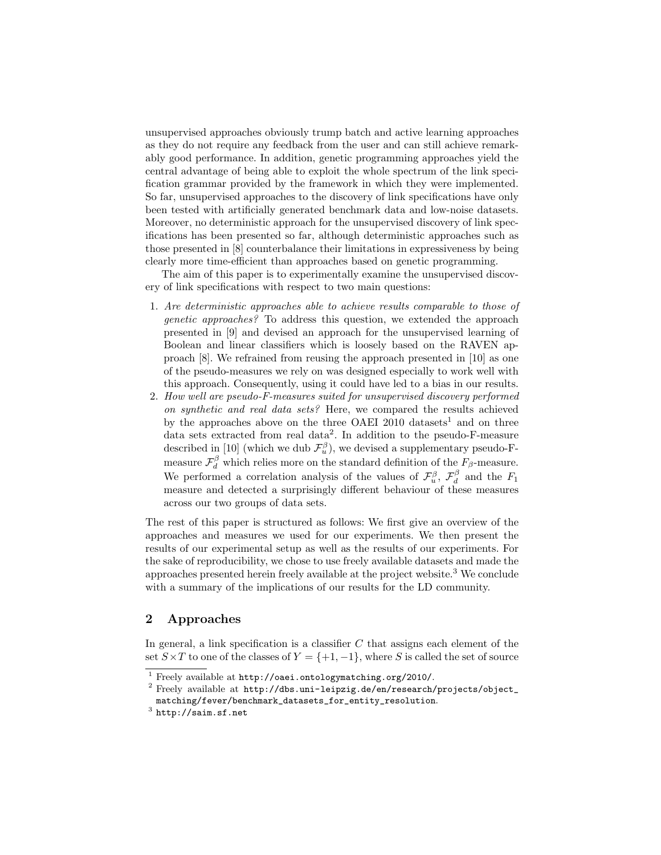unsupervised approaches obviously trump batch and active learning approaches as they do not require any feedback from the user and can still achieve remarkably good performance. In addition, genetic programming approaches yield the central advantage of being able to exploit the whole spectrum of the link specification grammar provided by the framework in which they were implemented. So far, unsupervised approaches to the discovery of link specifications have only been tested with artificially generated benchmark data and low-noise datasets. Moreover, no deterministic approach for the unsupervised discovery of link specifications has been presented so far, although deterministic approaches such as those presented in [8] counterbalance their limitations in expressiveness by being clearly more time-efficient than approaches based on genetic programming.

The aim of this paper is to experimentally examine the unsupervised discovery of link specifications with respect to two main questions:

- 1. Are deterministic approaches able to achieve results comparable to those of genetic approaches? To address this question, we extended the approach presented in [9] and devised an approach for the unsupervised learning of Boolean and linear classifiers which is loosely based on the RAVEN approach [8]. We refrained from reusing the approach presented in [10] as one of the pseudo-measures we rely on was designed especially to work well with this approach. Consequently, using it could have led to a bias in our results.
- 2. How well are pseudo-F-measures suited for unsupervised discovery performed on synthetic and real data sets? Here, we compared the results achieved by the approaches above on the three OAEI 2010 datasets<sup>1</sup> and on three data sets extracted from real data<sup>2</sup>. In addition to the pseudo-F-measure described in [10] (which we dub  $\mathcal{F}_{u}^{\beta}$ ), we devised a supplementary pseudo-Fmeasure  $\mathcal{F}_{d}^{\beta}$  which relies more on the standard definition of the  $F_{\beta}$ -measure. We performed a correlation analysis of the values of  $\mathcal{F}_{u}^{\beta}$ ,  $\mathcal{F}_{d}^{\beta}$  and the  $F_1$ measure and detected a surprisingly different behaviour of these measures across our two groups of data sets.

The rest of this paper is structured as follows: We first give an overview of the approaches and measures we used for our experiments. We then present the results of our experimental setup as well as the results of our experiments. For the sake of reproducibility, we chose to use freely available datasets and made the approaches presented herein freely available at the project website.<sup>3</sup> We conclude with a summary of the implications of our results for the LD community.

# 2 Approaches

In general, a link specification is a classifier  $C$  that assigns each element of the set  $S \times T$  to one of the classes of  $Y = \{+1, -1\}$ , where S is called the set of source

<sup>1</sup> Freely available at http://oaei.ontologymatching.org/2010/.

<sup>&</sup>lt;sup>2</sup> Freely available at http://dbs.uni-leipzig.de/en/research/projects/object\_ matching/fever/benchmark\_datasets\_for\_entity\_resolution.

 $^3$  http://saim.sf.net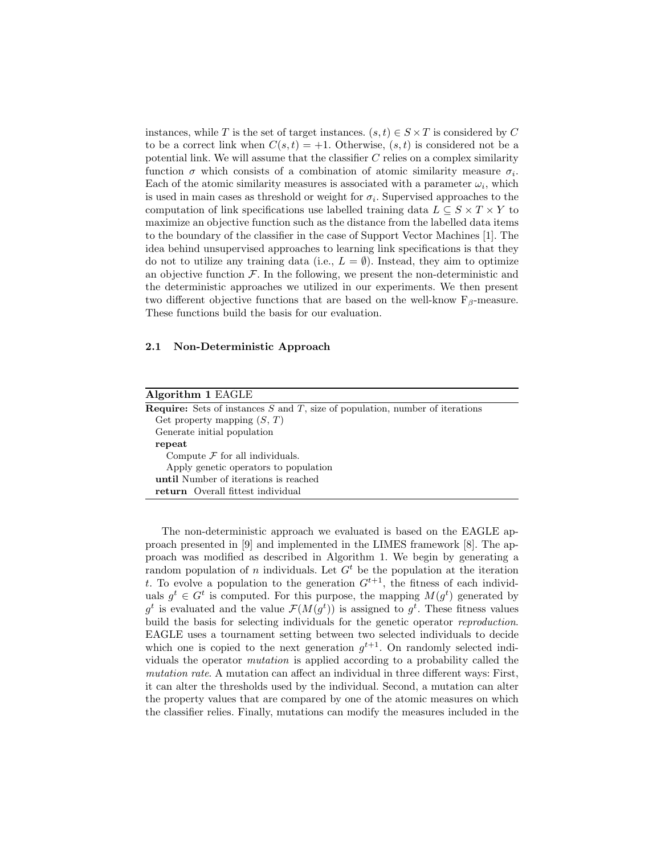instances, while T is the set of target instances.  $(s, t) \in S \times T$  is considered by C to be a correct link when  $C(s,t) = +1$ . Otherwise,  $(s,t)$  is considered not be a potential link. We will assume that the classifier C relies on a complex similarity function  $\sigma$  which consists of a combination of atomic similarity measure  $\sigma_i$ . Each of the atomic similarity measures is associated with a parameter  $\omega_i$ , which is used in main cases as threshold or weight for  $\sigma_i$ . Supervised approaches to the computation of link specifications use labelled training data  $L \subseteq S \times T \times Y$  to maximize an objective function such as the distance from the labelled data items to the boundary of the classifier in the case of Support Vector Machines [1]. The idea behind unsupervised approaches to learning link specifications is that they do not to utilize any training data (i.e.,  $L = \emptyset$ ). Instead, they aim to optimize an objective function  $\mathcal F$ . In the following, we present the non-deterministic and the deterministic approaches we utilized in our experiments. We then present two different objective functions that are based on the well-know  $F_\beta$ -measure. These functions build the basis for our evaluation.

#### 2.1 Non-Deterministic Approach

| Algorithm 1 EAGLE                                                                   |
|-------------------------------------------------------------------------------------|
| <b>Require:</b> Sets of instances S and T, size of population, number of iterations |
| Get property mapping $(S, T)$                                                       |
| Generate initial population                                                         |
| repeat                                                                              |
| Compute $\mathcal F$ for all individuals.                                           |
| Apply genetic operators to population                                               |
| until Number of iterations is reached                                               |
| return Overall fittest individual                                                   |

The non-deterministic approach we evaluated is based on the EAGLE approach presented in [9] and implemented in the LIMES framework [8]. The approach was modified as described in Algorithm 1. We begin by generating a random population of n individuals. Let  $G<sup>t</sup>$  be the population at the iteration t. To evolve a population to the generation  $G^{t+1}$ , the fitness of each individuals  $g^t \in G^t$  is computed. For this purpose, the mapping  $M(g^t)$  generated by  $g^t$  is evaluated and the value  $\mathcal{F}(M(g^t))$  is assigned to  $g^t$ . These fitness values build the basis for selecting individuals for the genetic operator reproduction. EAGLE uses a tournament setting between two selected individuals to decide which one is copied to the next generation  $g^{t+1}$ . On randomly selected individuals the operator mutation is applied according to a probability called the mutation rate. A mutation can affect an individual in three different ways: First, it can alter the thresholds used by the individual. Second, a mutation can alter the property values that are compared by one of the atomic measures on which the classifier relies. Finally, mutations can modify the measures included in the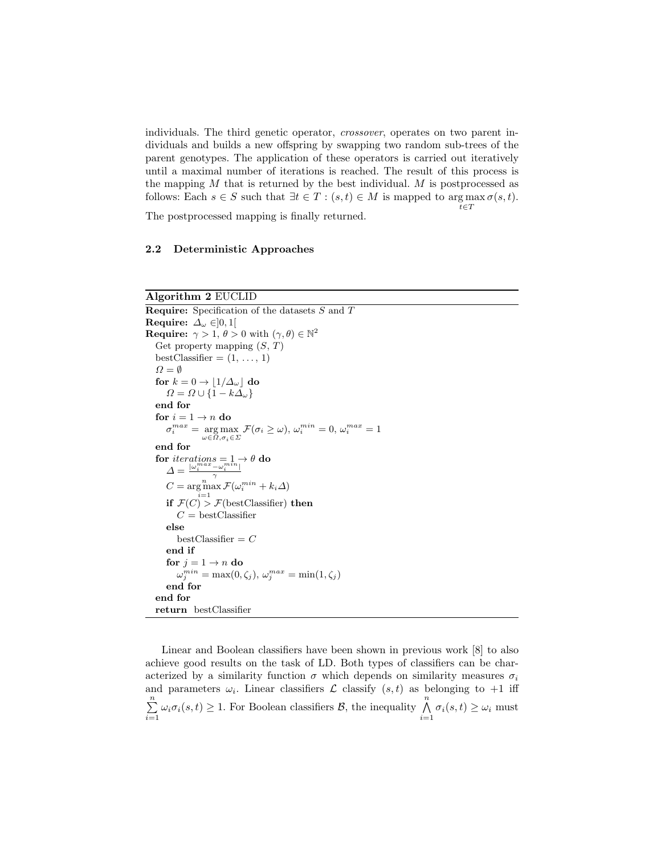individuals. The third genetic operator, crossover, operates on two parent individuals and builds a new offspring by swapping two random sub-trees of the parent genotypes. The application of these operators is carried out iteratively until a maximal number of iterations is reached. The result of this process is the mapping  $M$  that is returned by the best individual.  $M$  is postprocessed as follows: Each  $s \in S$  such that  $\exists t \in T : (s, t) \in M$  is mapped to  $\arg \max \sigma(s, t)$ .  $t \in T$ 

The postprocessed mapping is finally returned.

### 2.2 Deterministic Approaches

# Algorithm 2 EUCLID

**Require:** Specification of the datasets  $S$  and  $T$ Require:  $\Delta_{\omega} \in ]0,1[$ **Require:**  $\gamma > 1, \theta > 0$  with  $(\gamma, \theta) \in \mathbb{N}^2$ Get property mapping  $(S, T)$ bestClassifier  $=(1, \ldots, 1)$  $\Omega = \emptyset$ for  $k = 0 \rightarrow |1/\Delta_{\omega}|$  do  $\Omega = \Omega \cup \{1 - k\Delta_{\omega}\}\$ end for for  $i = 1 \rightarrow n$  do  $\sigma_i^{max} = \underset{\omega \in \Omega, \sigma_i \in \Sigma}{\arg \max} \mathcal{F}(\sigma_i \ge \omega), \omega_i^{min} = 0, \omega_i^{max} = 1$ end for for *iterations* =  $1 \rightarrow \theta$  do  $\Delta = \frac{|\omega_i^{max} - \omega_i^{min}|}{\gamma}$ γ  $C = \arg \max_{i=1}^n \mathcal{F}(\omega_i^{min} + k_i \Delta)$ if  $\mathcal{F}(C) > \mathcal{F}(\text{bestClassifier})$  then  $C = bestClassifier$ else bestClassifier  $= C$ end if for  $j = 1 \rightarrow n$  do  $\omega_j^{min} = \max(0, \zeta_j), \, \omega_j^{max} = \min(1, \zeta_j)$ end for end for return bestClassifier

Linear and Boolean classifiers have been shown in previous work [8] to also achieve good results on the task of LD. Both types of classifiers can be characterized by a similarity function  $\sigma$  which depends on similarity measures  $\sigma_i$ and parameters  $\omega_i$ . Linear classifiers  $\mathcal L$  classify  $(s,t)$  as belonging to  $+1$  iff  $\sum_{n=1}^{\infty}$  $\sum_{i=1}^n \omega_i \sigma_i(s,t) \geq 1$ . For Boolean classifiers  $\mathcal{B}$ , the inequality  $\bigwedge_{i=1}^n \sigma_i(s,t) \geq \omega_i$  must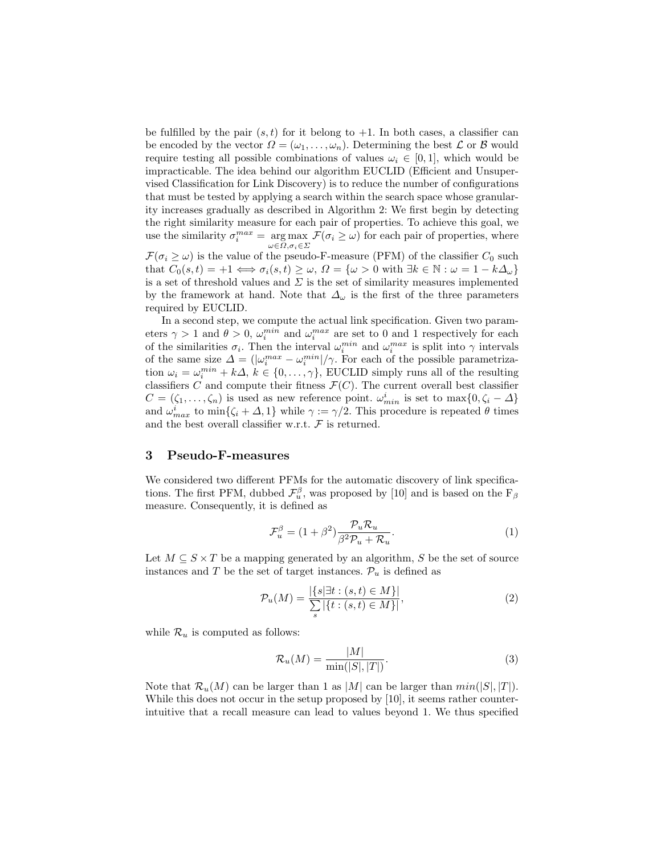be fulfilled by the pair  $(s, t)$  for it belong to  $+1$ . In both cases, a classifier can be encoded by the vector  $\Omega = (\omega_1, \ldots, \omega_n)$ . Determining the best  $\mathcal L$  or  $\mathcal B$  would require testing all possible combinations of values  $\omega_i \in [0, 1]$ , which would be impracticable. The idea behind our algorithm EUCLID (Efficient and Unsupervised Classification for Link Discovery) is to reduce the number of configurations that must be tested by applying a search within the search space whose granularity increases gradually as described in Algorithm 2: We first begin by detecting the right similarity measure for each pair of properties. To achieve this goal, we use the similarity  $\sigma_i^{max} = \arg \max_{\omega \in \Omega, \sigma_i \in \Sigma} \mathcal{F}(\sigma_i \ge \omega)$  for each pair of properties, where

 $\mathcal{F}(\sigma_i \geq \omega)$  is the value of the pseudo-F-measure (PFM) of the classifier  $C_0$  such that  $C_0(s,t) = +1 \Longleftrightarrow \sigma_i(s,t) \geq \omega, \Omega = \{\omega > 0 \text{ with } \exists k \in \mathbb{N} : \omega = 1 - k\Delta_{\omega}\}\$ is a set of threshold values and  $\Sigma$  is the set of similarity measures implemented by the framework at hand. Note that  $\Delta_{\omega}$  is the first of the three parameters required by EUCLID.

In a second step, we compute the actual link specification. Given two parameters  $\gamma > 1$  and  $\theta > 0$ ,  $\omega_i^{min}$  and  $\omega_i^{max}$  are set to 0 and 1 respectively for each of the similarities  $\sigma_i$ . Then the interval  $\omega_i^{min}$  and  $\omega_i^{max}$  is split into  $\gamma$  intervals of the same size  $\Delta = (|\omega_i^{max} - \omega_i^{min}|/\gamma)$ . For each of the possible parametrization  $\omega_i = \omega_i^{min} + k\Delta, k \in \{0, ..., \gamma\}$ , EUCLID simply runs all of the resulting classifiers C and compute their fitness  $\mathcal{F}(C)$ . The current overall best classifier  $C = (\zeta_1, \ldots, \zeta_n)$  is used as new reference point.  $\omega_{min}^i$  is set to  $\max\{0, \zeta_i - \Delta\}$ and  $\omega_{max}^i$  to  $\min\{\zeta_i + \Delta, 1\}$  while  $\gamma := \gamma/2$ . This procedure is repeated  $\theta$  times and the best overall classifier w.r.t.  $\mathcal F$  is returned.

#### 3 Pseudo-F-measures

We considered two different PFMs for the automatic discovery of link specifications. The first PFM, dubbed  $\mathcal{F}_{u}^{\beta}$ , was proposed by [10] and is based on the  $F_{\beta}$ measure. Consequently, it is defined as

$$
\mathcal{F}_{u}^{\beta} = (1 + \beta^2) \frac{\mathcal{P}_{u} \mathcal{R}_{u}}{\beta^2 \mathcal{P}_{u} + \mathcal{R}_{u}}.
$$
\n(1)

Let  $M \subseteq S \times T$  be a mapping generated by an algorithm, S be the set of source instances and T be the set of target instances.  $\mathcal{P}_u$  is defined as

$$
\mathcal{P}_u(M) = \frac{|\{s | \exists t : (s, t) \in M\}|}{\sum_{s} |\{t : (s, t) \in M\}|},\tag{2}
$$

while  $\mathcal{R}_u$  is computed as follows:

$$
\mathcal{R}_u(M) = \frac{|M|}{\min(|S|, |T|)}.\tag{3}
$$

Note that  $\mathcal{R}_u(M)$  can be larger than 1 as  $|M|$  can be larger than  $min(|S|, |T|)$ . While this does not occur in the setup proposed by [10], it seems rather counterintuitive that a recall measure can lead to values beyond 1. We thus specified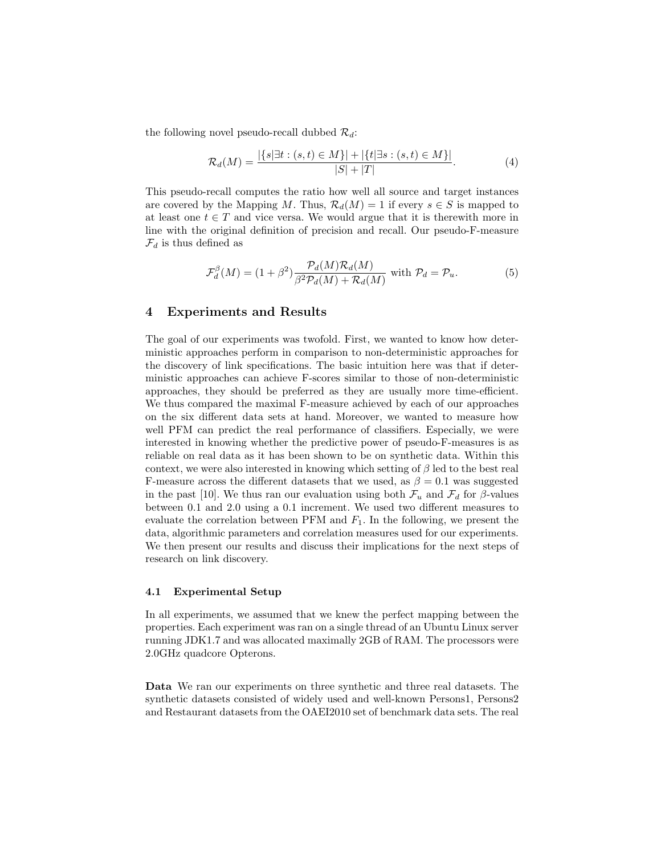the following novel pseudo-recall dubbed  $\mathcal{R}_d$ :

$$
\mathcal{R}_d(M) = \frac{|\{s \mid \exists t : (s, t) \in M\}| + |\{t \mid \exists s : (s, t) \in M\}|}{|S| + |T|}.
$$
\n(4)

This pseudo-recall computes the ratio how well all source and target instances are covered by the Mapping M. Thus,  $\mathcal{R}_d(M) = 1$  if every  $s \in S$  is mapped to at least one  $t \in T$  and vice versa. We would argue that it is therewith more in line with the original definition of precision and recall. Our pseudo-F-measure  $\mathcal{F}_d$  is thus defined as

$$
\mathcal{F}_d^{\beta}(M) = (1 + \beta^2) \frac{\mathcal{P}_d(M)\mathcal{R}_d(M)}{\beta^2 \mathcal{P}_d(M) + \mathcal{R}_d(M)} \text{ with } \mathcal{P}_d = \mathcal{P}_u. \tag{5}
$$

### 4 Experiments and Results

The goal of our experiments was twofold. First, we wanted to know how deterministic approaches perform in comparison to non-deterministic approaches for the discovery of link specifications. The basic intuition here was that if deterministic approaches can achieve F-scores similar to those of non-deterministic approaches, they should be preferred as they are usually more time-efficient. We thus compared the maximal F-measure achieved by each of our approaches on the six different data sets at hand. Moreover, we wanted to measure how well PFM can predict the real performance of classifiers. Especially, we were interested in knowing whether the predictive power of pseudo-F-measures is as reliable on real data as it has been shown to be on synthetic data. Within this context, we were also interested in knowing which setting of  $\beta$  led to the best real F-measure across the different datasets that we used, as  $\beta = 0.1$  was suggested in the past [10]. We thus ran our evaluation using both  $\mathcal{F}_u$  and  $\mathcal{F}_d$  for  $\beta$ -values between 0.1 and 2.0 using a 0.1 increment. We used two different measures to evaluate the correlation between  $PFM$  and  $F_1$ . In the following, we present the data, algorithmic parameters and correlation measures used for our experiments. We then present our results and discuss their implications for the next steps of research on link discovery.

#### 4.1 Experimental Setup

In all experiments, we assumed that we knew the perfect mapping between the properties. Each experiment was ran on a single thread of an Ubuntu Linux server running JDK1.7 and was allocated maximally 2GB of RAM. The processors were 2.0GHz quadcore Opterons.

Data We ran our experiments on three synthetic and three real datasets. The synthetic datasets consisted of widely used and well-known Persons1, Persons2 and Restaurant datasets from the OAEI2010 set of benchmark data sets. The real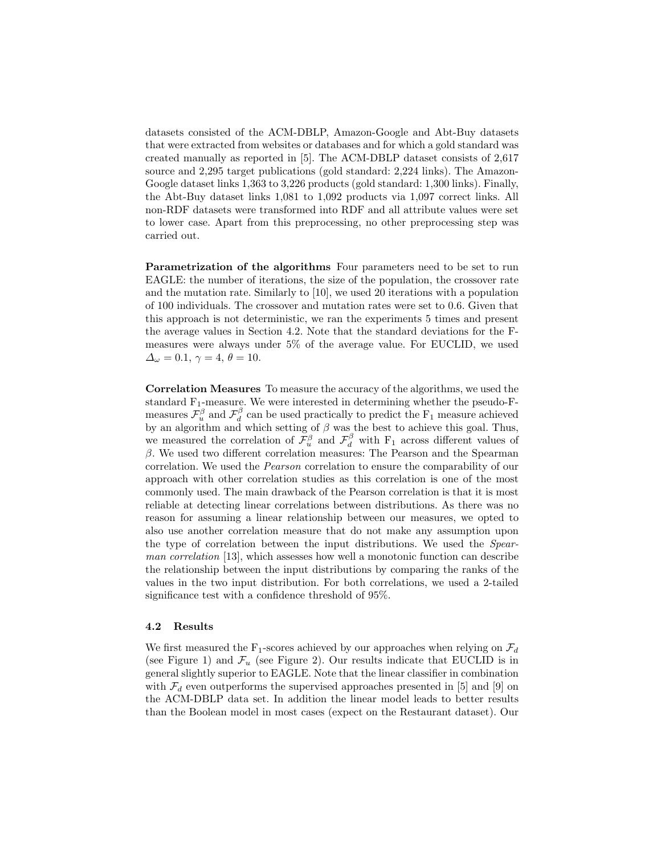datasets consisted of the ACM-DBLP, Amazon-Google and Abt-Buy datasets that were extracted from websites or databases and for which a gold standard was created manually as reported in [5]. The ACM-DBLP dataset consists of 2,617 source and 2,295 target publications (gold standard: 2,224 links). The Amazon-Google dataset links 1,363 to 3,226 products (gold standard: 1,300 links). Finally, the Abt-Buy dataset links 1,081 to 1,092 products via 1,097 correct links. All non-RDF datasets were transformed into RDF and all attribute values were set to lower case. Apart from this preprocessing, no other preprocessing step was carried out.

Parametrization of the algorithms Four parameters need to be set to run EAGLE: the number of iterations, the size of the population, the crossover rate and the mutation rate. Similarly to [10], we used 20 iterations with a population of 100 individuals. The crossover and mutation rates were set to 0.6. Given that this approach is not deterministic, we ran the experiments 5 times and present the average values in Section 4.2. Note that the standard deviations for the Fmeasures were always under 5% of the average value. For EUCLID, we used  $\Delta_{\omega}=0.1, \gamma=4, \theta=10.$ 

Correlation Measures To measure the accuracy of the algorithms, we used the standard  $F_1$ -measure. We were interested in determining whether the pseudo- $F$ measures  $\mathcal{F}^{\beta}_u$  and  $\mathcal{F}^{\beta}_d$  can be used practically to predict the  $\mathrm{F}_1$  measure achieved by an algorithm and which setting of  $\beta$  was the best to achieve this goal. Thus, we measured the correlation of  $\mathcal{F}_{u}^{\beta}$  and  $\mathcal{F}_{d}^{\beta}$  with  $F_1$  across different values of  $β$ . We used two different correlation measures: The Pearson and the Spearman correlation. We used the Pearson correlation to ensure the comparability of our approach with other correlation studies as this correlation is one of the most commonly used. The main drawback of the Pearson correlation is that it is most reliable at detecting linear correlations between distributions. As there was no reason for assuming a linear relationship between our measures, we opted to also use another correlation measure that do not make any assumption upon the type of correlation between the input distributions. We used the Spearman correlation [13], which assesses how well a monotonic function can describe the relationship between the input distributions by comparing the ranks of the values in the two input distribution. For both correlations, we used a 2-tailed significance test with a confidence threshold of 95%.

#### 4.2 Results

We first measured the F<sub>1</sub>-scores achieved by our approaches when relying on  $\mathcal{F}_d$ (see Figure 1) and  $\mathcal{F}_u$  (see Figure 2). Our results indicate that EUCLID is in general slightly superior to EAGLE. Note that the linear classifier in combination with  $\mathcal{F}_d$  even outperforms the supervised approaches presented in [5] and [9] on the ACM-DBLP data set. In addition the linear model leads to better results than the Boolean model in most cases (expect on the Restaurant dataset). Our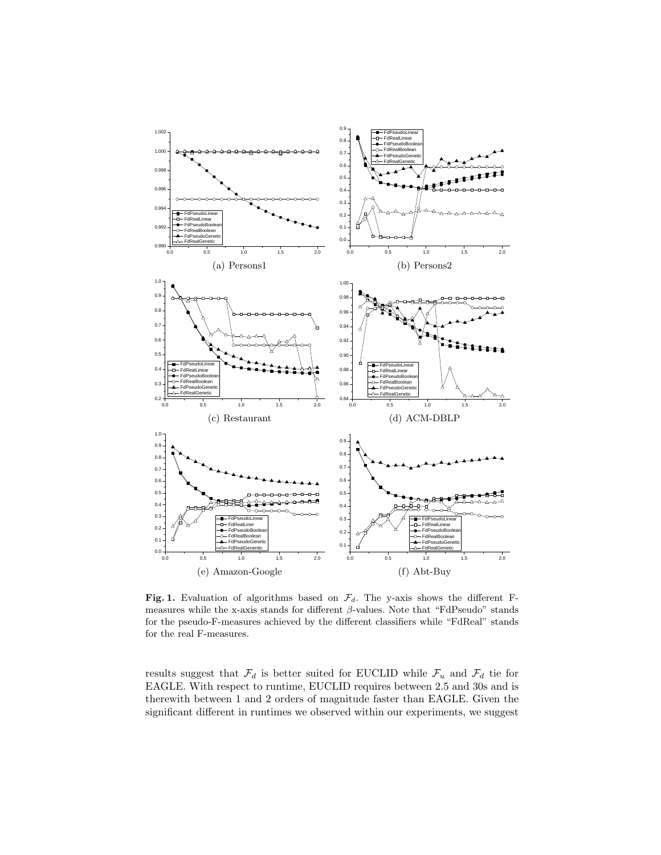

Fig. 1. Evaluation of algorithms based on  $\mathcal{F}_d$ . The y-axis shows the different Fmeasures while the x-axis stands for different  $\beta$ -values. Note that "FdPseudo" stands for the pseudo-F-measures achieved by the different classifiers while "FdReal" stands for the real F-measures.

results suggest that  $\mathcal{F}_d$  is better suited for EUCLID while  $\mathcal{F}_u$  and  $\mathcal{F}_d$  tie for EAGLE. With respect to runtime, EUCLID requires between 2.5 and 30s and is therewith between 1 and 2 orders of magnitude faster than EAGLE. Given the significant different in runtimes we observed within our experiments, we suggest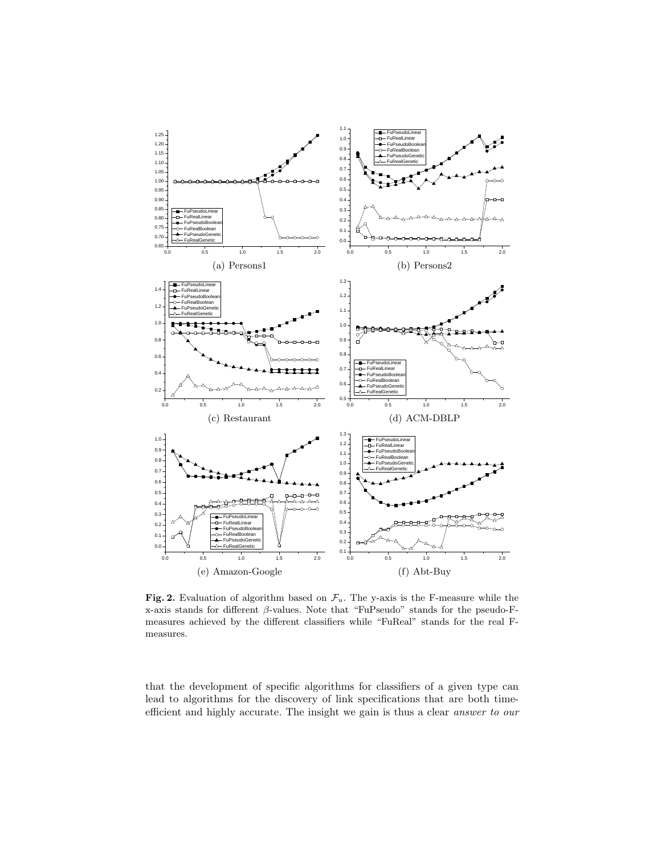

Fig. 2. Evaluation of algorithm based on  $\mathcal{F}_u$ . The y-axis is the F-measure while the x-axis stands for different  $\beta$ -values. Note that "FuPseudo" stands for the pseudo-Fmeasures achieved by the different classifiers while "FuReal" stands for the real Fmeasures.

that the development of specific algorithms for classifiers of a given type can lead to algorithms for the discovery of link specifications that are both timeefficient and highly accurate. The insight we gain is thus a clear answer to our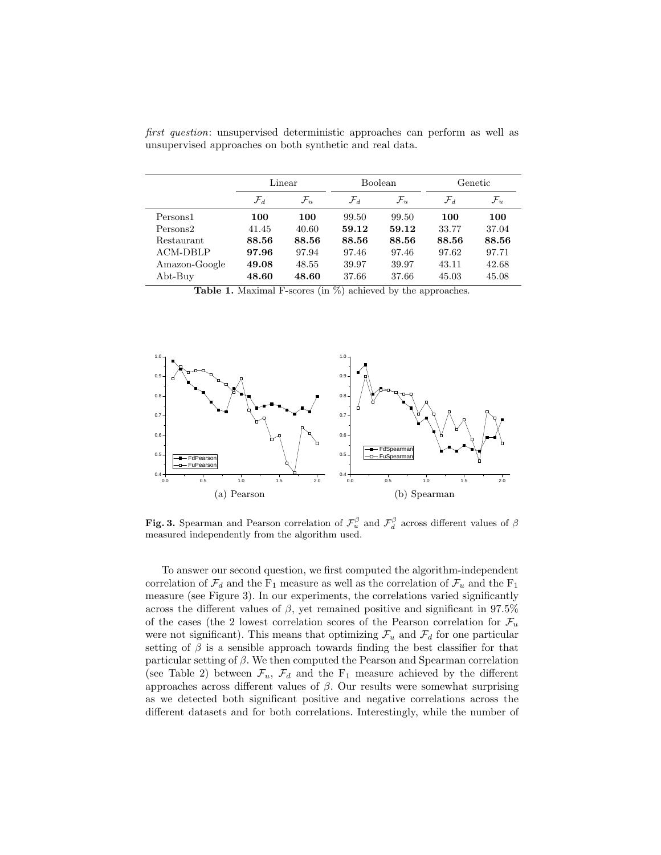|                 | Linear          |                 | <b>Boolean</b>  |                 | Genetic         |                 |
|-----------------|-----------------|-----------------|-----------------|-----------------|-----------------|-----------------|
|                 | $\mathcal{F}_d$ | $\mathcal{F}_u$ | $\mathcal{F}_d$ | $\mathcal{F}_u$ | $\mathcal{F}_d$ | $\mathcal{F}_u$ |
| Persons1        | 100             | 100             | 99.50           | 99.50           | 100             | 100             |
| Persons2        | 41.45           | 40.60           | 59.12           | 59.12           | 33.77           | 37.04           |
| Restaurant      | 88.56           | 88.56           | 88.56           | 88.56           | 88.56           | 88.56           |
| <b>ACM-DBLP</b> | 97.96           | 97.94           | 97.46           | 97.46           | 97.62           | 97.71           |
| Amazon-Google   | 49.08           | 48.55           | 39.97           | 39.97           | 43.11           | 42.68           |
| Abt-Buy         | 48.60           | 48.60           | 37.66           | 37.66           | 45.03           | 45.08           |

first question: unsupervised deterministic approaches can perform as well as unsupervised approaches on both synthetic and real data.

Table 1. Maximal F-scores (in %) achieved by the approaches.



Fig. 3. Spearman and Pearson correlation of  $\mathcal{F}_{u}^{\beta}$  and  $\mathcal{F}_{d}^{\beta}$  across different values of  $\beta$ measured independently from the algorithm used.

To answer our second question, we first computed the algorithm-independent correlation of  $\mathcal{F}_d$  and the F<sub>1</sub> measure as well as the correlation of  $\mathcal{F}_u$  and the F<sub>1</sub> measure (see Figure 3). In our experiments, the correlations varied significantly across the different values of  $\beta$ , yet remained positive and significant in 97.5% of the cases (the 2 lowest correlation scores of the Pearson correlation for  $\mathcal{F}_u$ were not significant). This means that optimizing  $\mathcal{F}_u$  and  $\mathcal{F}_d$  for one particular setting of  $\beta$  is a sensible approach towards finding the best classifier for that particular setting of  $\beta$ . We then computed the Pearson and Spearman correlation (see Table 2) between  $\mathcal{F}_u$ ,  $\mathcal{F}_d$  and the  $F_1$  measure achieved by the different approaches across different values of β. Our results were somewhat surprising as we detected both significant positive and negative correlations across the different datasets and for both correlations. Interestingly, while the number of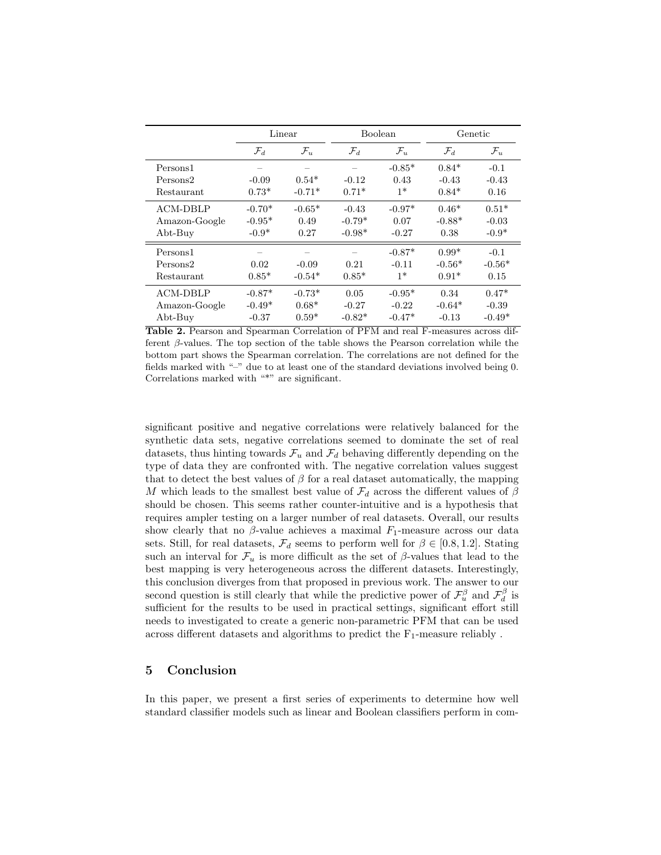|                                  | Linear               |                  | Boolean             |                  | Genetic             |                    |
|----------------------------------|----------------------|------------------|---------------------|------------------|---------------------|--------------------|
|                                  | $\mathcal{F}_d$      | $\mathcal{F}_u$  | $\mathcal{F}_d$     | $\mathcal{F}_u$  | $\mathcal{F}_d$     | $\mathcal{F}_u$    |
| Persons1                         |                      |                  |                     | $-0.85*$         | $0.84*$             | $-0.1$             |
| Persons2                         | $-0.09$              | $0.54*$          | $-0.12$             | 0.43             | $-0.43$             | $-0.43$            |
| Restaurant                       | $0.73*$              | $-0.71*$         | $0.71*$             | $1*$             | $0.84*$             | 0.16               |
| <b>ACM-DBLP</b><br>Amazon-Google | $-0.70*$<br>$-0.95*$ | $-0.65*$<br>0.49 | $-0.43$<br>$-0.79*$ | $-0.97*$<br>0.07 | $0.46*$<br>$-0.88*$ | $0.51*$<br>$-0.03$ |
| Abt-Buy                          | $-0.9*$              | 0.27             | $-0.98*$            | $-0.27$          | 0.38                | $-0.9*$            |
| Persons1                         |                      |                  |                     | $-0.87*$         | $0.99*$             | $-0.1$             |
| Persons2                         | 0.02                 | $-0.09$          | 0.21                | $-0.11$          | $-0.56*$            | $-0.56*$           |
| Restaurant                       | $0.85*$              | $-0.54*$         | $0.85*$             | $1*$             | $0.91*$             | 0.15               |
| <b>ACM-DBLP</b>                  | $-0.87*$             | $-0.73*$         | 0.05                | $-0.95*$         | 0.34                | $0.47*$            |
| Amazon-Google                    | $-0.49*$             | $0.68*$          | $-0.27$             | $-0.22$          | $-0.64*$            | $-0.39$            |
| Abt-Buy                          | $-0.37$              | $0.59*$          | $-0.82*$            | $-0.47*$         | $-0.13$             | $-0.49*$           |

Table 2. Pearson and Spearman Correlation of PFM and real F-measures across different β-values. The top section of the table shows the Pearson correlation while the bottom part shows the Spearman correlation. The correlations are not defined for the fields marked with "–" due to at least one of the standard deviations involved being 0. Correlations marked with "\*" are significant.

significant positive and negative correlations were relatively balanced for the synthetic data sets, negative correlations seemed to dominate the set of real datasets, thus hinting towards  $\mathcal{F}_u$  and  $\mathcal{F}_d$  behaving differently depending on the type of data they are confronted with. The negative correlation values suggest that to detect the best values of  $\beta$  for a real dataset automatically, the mapping M which leads to the smallest best value of  $\mathcal{F}_d$  across the different values of  $\beta$ should be chosen. This seems rather counter-intuitive and is a hypothesis that requires ampler testing on a larger number of real datasets. Overall, our results show clearly that no  $\beta$ -value achieves a maximal  $F_1$ -measure across our data sets. Still, for real datasets,  $\mathcal{F}_d$  seems to perform well for  $\beta \in [0.8, 1.2]$ . Stating such an interval for  $\mathcal{F}_u$  is more difficult as the set of  $\beta$ -values that lead to the best mapping is very heterogeneous across the different datasets. Interestingly, this conclusion diverges from that proposed in previous work. The answer to our second question is still clearly that while the predictive power of  $\mathcal{F}_{u}^{\beta}$  and  $\mathcal{F}_{d}^{\beta}$  is sufficient for the results to be used in practical settings, significant effort still needs to investigated to create a generic non-parametric PFM that can be used across different datasets and algorithms to predict the  $\mathrm{F_{1}}\text{-}\mathrm{measure}$  reliably .

## 5 Conclusion

In this paper, we present a first series of experiments to determine how well standard classifier models such as linear and Boolean classifiers perform in com